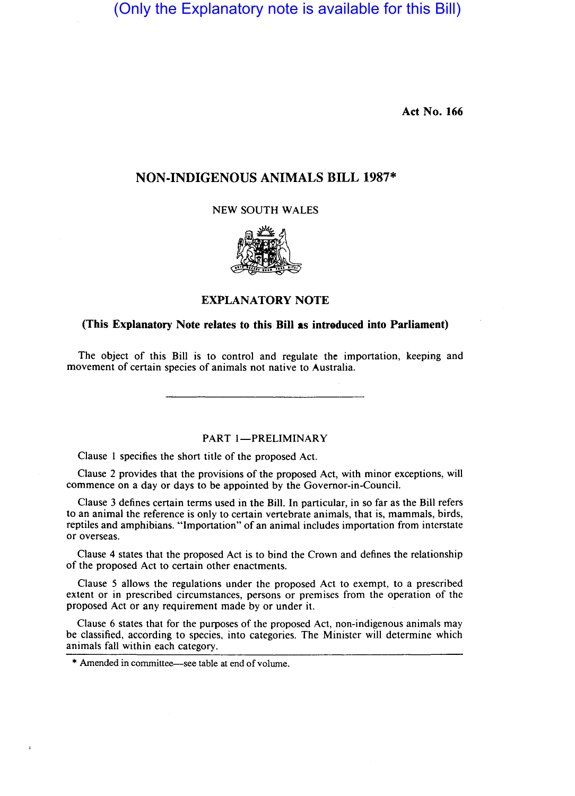(Only the Explanatory note is available for this Bill)

Act No. 166

# NON·INDIGENOUS ANIMALS BILL 1987\*

NEW SOUTH WALES



# EXPLANATORY NOTE

### (This Explanatory Note relates to this Bill as introduced into Parliament)

The object of this Bill is to control and regulate the importation, keeping and movement of certain species of animals not native to Australia.

PART 1-PRELIMINARY

Clause I specifies the short title of the proposed Act.

Clause 2 provides that the provisions of the proposed Act, with minor exceptions, will commence on a day or days to be appointed by the Governor-in-Council.

Clause 3 defines certain terms used in the Bill. In particular, in so far as the Bill refers to an animal the reference is only to certain vertebrate animals, that is, mammals, birds, reptiles and amphibians. "Importation" of an animal includes importation from interstate or overseas.

Clause 4· states that the proposed Act is to bind the Crown and defines the relationship of the proposed Act to certain other enactments.

Clause 5 allows the regulations under the proposed Act to exempt, to a prescribed extent or in prescribed circumstances, persons or premises from the operation of the proposed Act or any requirement made by or under it.

Clause 6 states that for the purposes of the proposed Act, non-indigenous animals may be classified, according to species, into categories. The Minister will determine which animals fall within each category.

<sup>\*</sup> Amended in committee-see table at end of volume.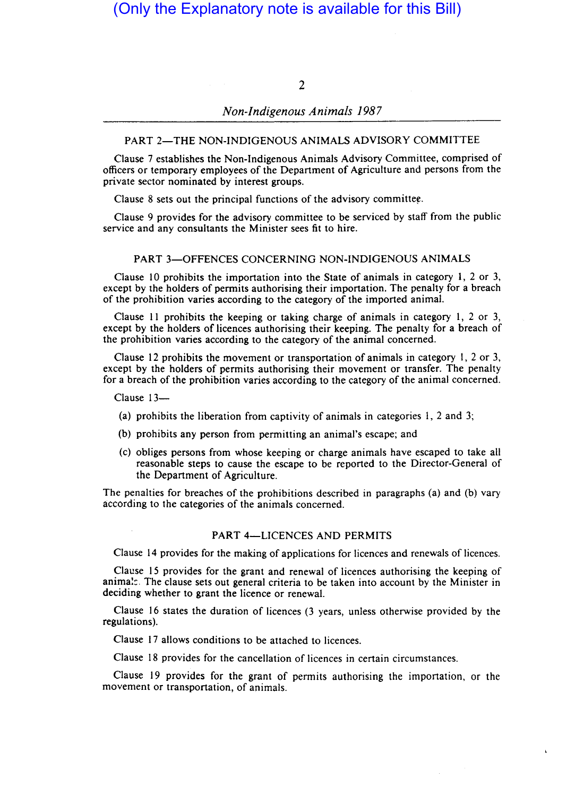# (Only the Explanatory note is available for this Bill)

2

# *Non-Indigenous Animals 1987*

#### PART 2-THE NON-INDIGENOUS ANIMALS ADVISORY COMMITTEE

Clause 7 establishes the Non-Indigenous Animals Advisory Committee, comprised of officers or temporary employees of the Department of Agriculture and persons from the private sector nominated by interest groups.

Clause 8 sets out the principal functions of the advisory committee.

Clause 9 provides for the advisory committee to be serviced by staff from the public service and any consultants the Minister sees fit to hire.

#### PART 3-OFFENCES CONCERNING NON-INDIGENOUS ANIMALS

Clause 10 prohibits the importation into the State of animals in category 1, 2 or 3, except by the holders of pennits authorising their importation. The penalty for a breach of the prohibition varies according to the category of the imported animal.

Clause 11 prohibits the keeping or taking charge of animals in category 1, 2 or 3, except by the holders of licences authorising their keeping. The penalty for a breach of the prohibition varies according to the category of the animal concerned.

Clause 12 prohibits the movement or transportation of animals in category 1, 2 or 3, except by the holders of pennits authorising their movement or transfer. The penalty for a breach of the prohibition varies according to the category of the animal concerned.

Clause 13-

- (a) prohibits the liberation from captivity of animals in categories I, 2 and 3;
- (b) prohibits any person from permitting an animal's escape; and
- (c) obliges persons from whose keeping or charge animals have escaped to take all reasonable steps to cause the escape to be reported to the Director-General of the Department of Agriculture.

The penalties for breaches of the prohibitions described in paragraphs (a) and (b) vary according to the categories of the animals concerned.

#### PART 4-LICENCES AND PERMITS

Clause 14 provides for the making of applications for licences and renewals of licences.

Clause 15 provides for the grant and renewal of licences authorising the keeping of anima!:. The clause sets out general criteria to be taken into account by the Minister in deciding whether to grant the licence or renewal.

Clause 16 states the duration of licences (3 years, unless otherwise provided by the regulations).

Clause 17 allows conditions to be attached to licences.

Clause 18 provides for the cancellation of licences in certain circumstances.

Clause 19 provides for the grant of pennits authorising the importation, or the movement or transportation, of animals.